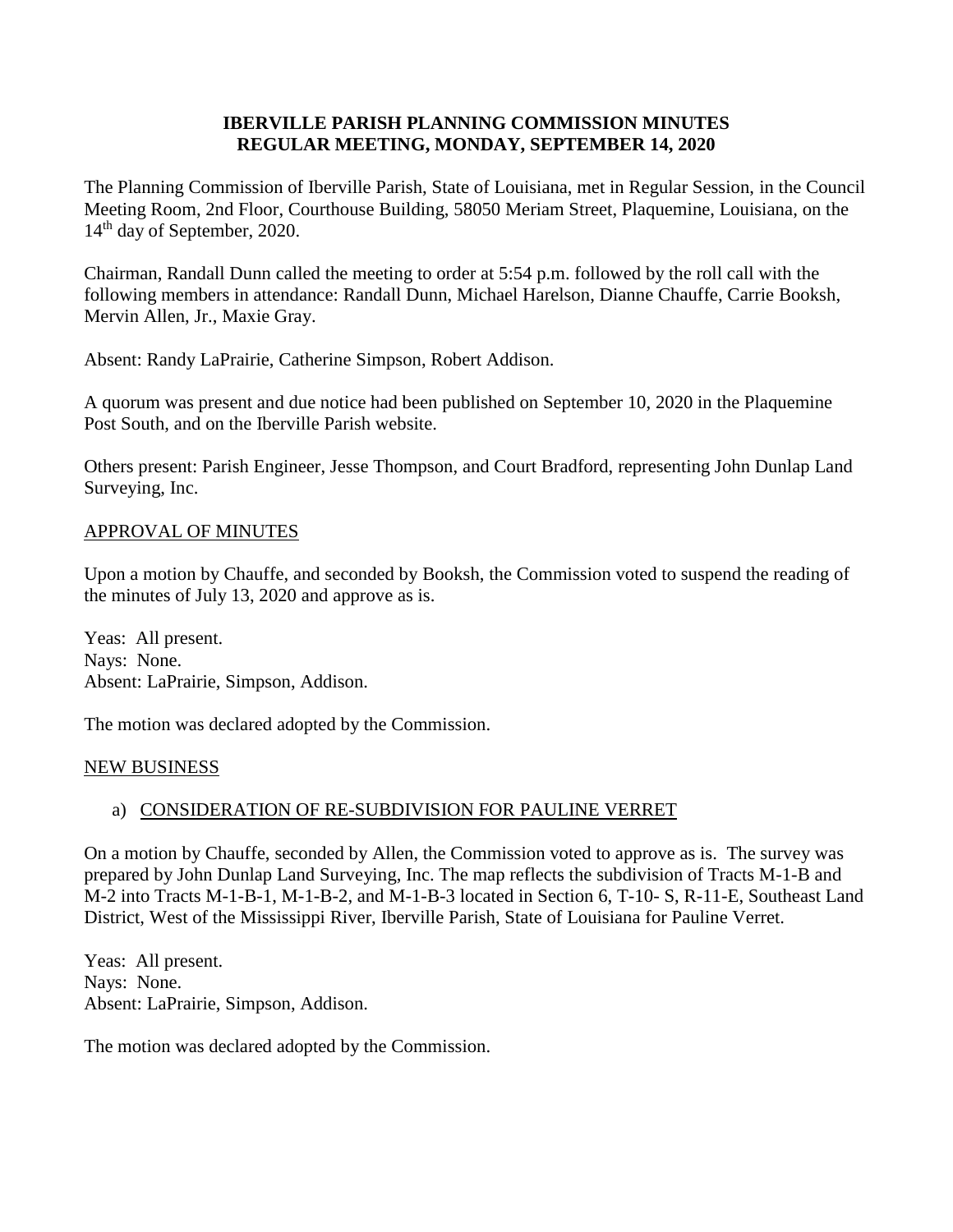#### **IBERVILLE PARISH PLANNING COMMISSION MINUTES REGULAR MEETING, MONDAY, SEPTEMBER 14, 2020**

The Planning Commission of Iberville Parish, State of Louisiana, met in Regular Session, in the Council Meeting Room, 2nd Floor, Courthouse Building, 58050 Meriam Street, Plaquemine, Louisiana, on the 14<sup>th</sup> day of September, 2020.

Chairman, Randall Dunn called the meeting to order at 5:54 p.m. followed by the roll call with the following members in attendance: Randall Dunn, Michael Harelson, Dianne Chauffe, Carrie Booksh, Mervin Allen, Jr., Maxie Gray.

Absent: Randy LaPrairie, Catherine Simpson, Robert Addison.

A quorum was present and due notice had been published on September 10, 2020 in the Plaquemine Post South, and on the Iberville Parish website.

Others present: Parish Engineer, Jesse Thompson, and Court Bradford, representing John Dunlap Land Surveying, Inc.

#### APPROVAL OF MINUTES

Upon a motion by Chauffe, and seconded by Booksh, the Commission voted to suspend the reading of the minutes of July 13, 2020 and approve as is.

Yeas: All present. Nays: None. Absent: LaPrairie, Simpson, Addison.

The motion was declared adopted by the Commission.

#### NEW BUSINESS

# a) CONSIDERATION OF RE-SUBDIVISION FOR PAULINE VERRET

On a motion by Chauffe, seconded by Allen, the Commission voted to approve as is. The survey was prepared by John Dunlap Land Surveying, Inc. The map reflects the subdivision of Tracts M-1-B and M-2 into Tracts M-1-B-1, M-1-B-2, and M-1-B-3 located in Section 6, T-10- S, R-11-E, Southeast Land District, West of the Mississippi River, Iberville Parish, State of Louisiana for Pauline Verret.

Yeas: All present. Nays: None. Absent: LaPrairie, Simpson, Addison.

The motion was declared adopted by the Commission.